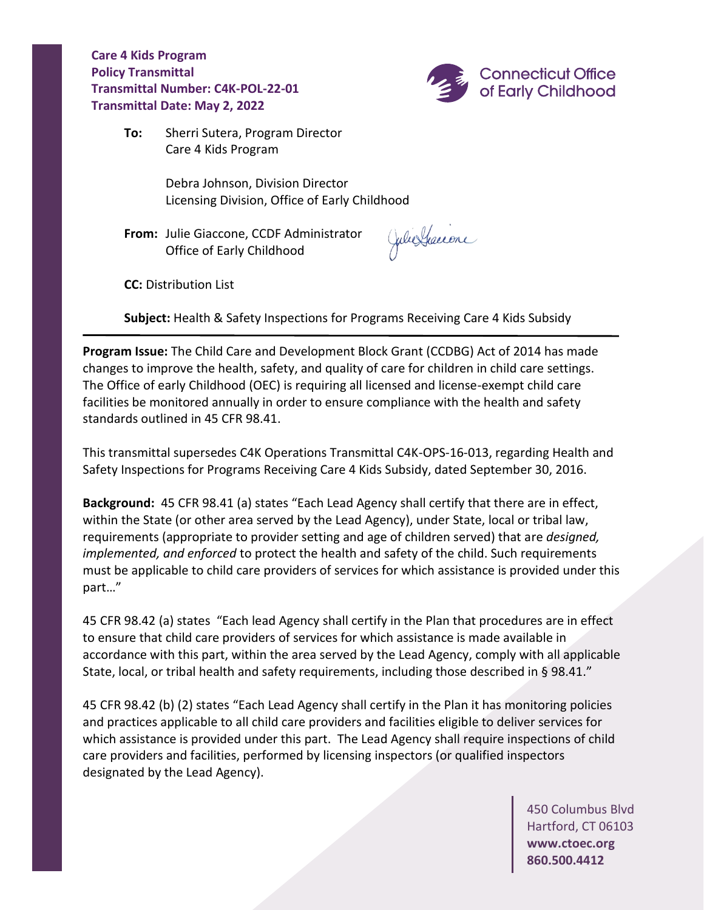**Care 4 Kids Program Policy Transmittal Transmittal Number: C4K-POL-22-01 Transmittal Date: May 2, 2022**



**To:** Sherri Sutera, Program Director Care 4 Kids Program

> Debra Johnson, Division Director Licensing Division, Office of Early Childhood

**From:** Julie Giaccone, CCDF Administrator Office of Early Childhood

Julie Graccone

**CC:** Distribution List

**Subject:** Health & Safety Inspections for Programs Receiving Care 4 Kids Subsidy

**Program Issue:** The Child Care and Development Block Grant (CCDBG) Act of 2014 has made changes to improve the health, safety, and quality of care for children in child care settings. The Office of early Childhood (OEC) is requiring all licensed and license-exempt child care facilities be monitored annually in order to ensure compliance with the health and safety standards outlined in 45 CFR 98.41.

This transmittal supersedes C4K Operations Transmittal C4K-OPS-16-013, regarding Health and Safety Inspections for Programs Receiving Care 4 Kids Subsidy, dated September 30, 2016.

**Background:** 45 CFR 98.41 (a) states "Each Lead Agency shall certify that there are in effect, within the State (or other area served by the Lead Agency), under State, local or tribal law, requirements (appropriate to provider setting and age of children served) that are *designed, implemented, and enforced* to protect the health and safety of the child. Such requirements must be applicable to child care providers of services for which assistance is provided under this part…"

45 CFR 98.42 (a) states "Each lead Agency shall certify in the Plan that procedures are in effect to ensure that child care providers of services for which assistance is made available in accordance with this part, within the area served by the Lead Agency, comply with all applicable State, local, or tribal health and safety requirements, including those described in § 98.41."

45 CFR 98.42 (b) (2) states "Each Lead Agency shall certify in the Plan it has monitoring policies and practices applicable to all child care providers and facilities eligible to deliver services for which assistance is provided under this part. The Lead Agency shall require inspections of child care providers and facilities, performed by licensing inspectors (or qualified inspectors designated by the Lead Agency).

> 450 Columbus Blvd Hartford, CT 06103 **[www.ctoec.org](http://www.ctoec.org/) 860.500.4412**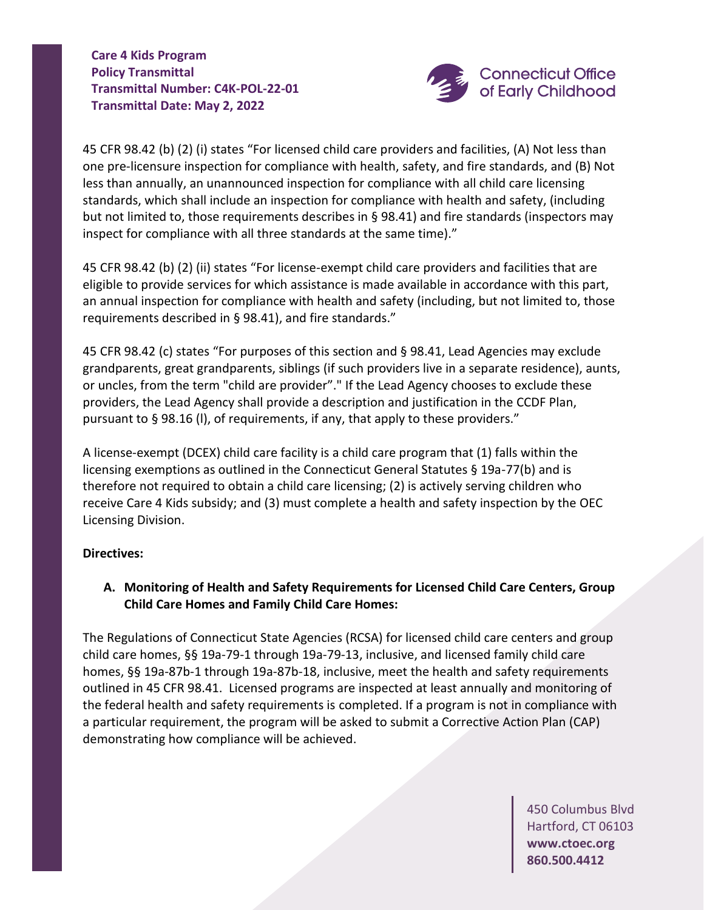**Care 4 Kids Program Policy Transmittal Transmittal Number: C4K-POL-22-01 Transmittal Date: May 2, 2022**



45 CFR 98.42 (b) (2) (i) states "For licensed child care providers and facilities, (A) Not less than one pre-licensure inspection for compliance with health, safety, and fire standards, and (B) Not less than annually, an unannounced inspection for compliance with all child care licensing standards, which shall include an inspection for compliance with health and safety, (including but not limited to, those requirements describes in § 98.41) and fire standards (inspectors may inspect for compliance with all three standards at the same time)."

45 CFR 98.42 (b) (2) (ii) states "For license-exempt child care providers and facilities that are eligible to provide services for which assistance is made available in accordance with this part, an annual inspection for compliance with health and safety (including, but not limited to, those requirements described in § 98.41), and fire standards."

45 CFR 98.42 (c) states "For purposes of this section and § 98.41, Lead Agencies may exclude grandparents, great grandparents, siblings (if such providers live in a separate residence), aunts, or uncles, from the term "child are provider"." If the Lead Agency chooses to exclude these providers, the Lead Agency shall provide a description and justification in the CCDF Plan, pursuant to § 98.16 (l), of requirements, if any, that apply to these providers."

A license-exempt (DCEX) child care facility is a child care program that (1) falls within the licensing exemptions as outlined in the Connecticut General Statutes § 19a-77(b) and is therefore not required to obtain a child care licensing; (2) is actively serving children who receive Care 4 Kids subsidy; and (3) must complete a health and safety inspection by the OEC Licensing Division.

## **Directives:**

**A. Monitoring of Health and Safety Requirements for Licensed Child Care Centers, Group Child Care Homes and Family Child Care Homes:**

The Regulations of Connecticut State Agencies (RCSA) for licensed child care centers and group child care homes, §§ 19a-79-1 through 19a-79-13, inclusive, and licensed family child care homes, §§ 19a-87b-1 through 19a-87b-18, inclusive, meet the health and safety requirements outlined in 45 CFR 98.41. Licensed programs are inspected at least annually and monitoring of the federal health and safety requirements is completed. If a program is not in compliance with a particular requirement, the program will be asked to submit a Corrective Action Plan (CAP) demonstrating how compliance will be achieved.

> 450 Columbus Blvd Hartford, CT 06103 **[www.ctoec.org](http://www.ctoec.org/) 860.500.4412**